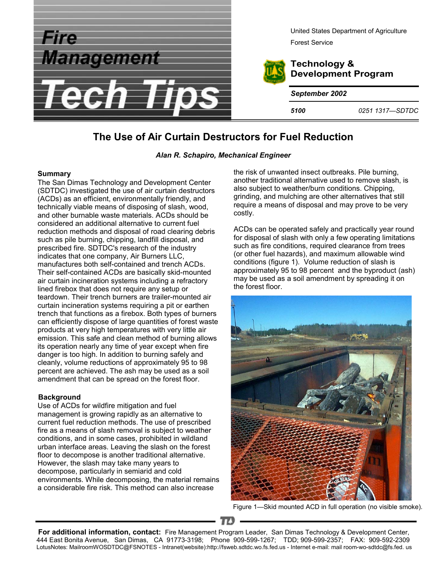

# **The Use of Air Curtain Destructors for Fuel Reduction**

#### *Alan R. Schapiro, Mechanical Engineer*

#### **Summary**

The San Dimas Technology and Development Center (SDTDC) investigated the use of air curtain destructors (ACDs) as an efficient, environmentally friendly, and technically viable means of disposing of slash, wood, and other burnable waste materials. ACDs should be considered an additional alternative to current fuel reduction methods and disposal of road clearing debris such as pile burning, chipping, landfill disposal, and prescribed fire. SDTDC's research of the industry indicates that one company, Air Burners LLC, manufactures both self-contained and trench ACDs. Their self-contained ACDs are basically skid-mounted air curtain incineration systems including a refractory lined firebox that does not require any setup or teardown. Their trench burners are trailer-mounted air curtain incineration systems requiring a pit or earthen trench that functions as a firebox. Both types of burners can efficiently dispose of large quantities of forest waste products at very high temperatures with very little air emission. This safe and clean method of burning allows its operation nearly any time of year except when fire danger is too high. In addition to burning safely and cleanly, volume reductions of approximately 95 to 98 percent are achieved. The ash may be used as a soil amendment that can be spread on the forest floor.

## **Background**

Use of ACDs for wildfire mitigation and fuel management is growing rapidly as an alternative to current fuel reduction methods. The use of prescribed fire as a means of slash removal is subject to weather conditions, and in some cases, prohibited in wildland urban interface areas. Leaving the slash on the forest floor to decompose is another traditional alternative. However, the slash may take many years to decompose, particularly in semiarid and cold environments. While decomposing, the material remains a considerable fire risk. This method can also increase

the risk of unwanted insect outbreaks. Pile burning, another traditional alternative used to remove slash, is also subject to weather/burn conditions. Chipping, grinding, and mulching are other alternatives that still require a means of disposal and may prove to be very costly.

ACDs can be operated safely and practically year round for disposal of slash with only a few operating limitations such as fire conditions, required clearance from trees (or other fuel hazards), and maximum allowable wind conditions (figure 1). Volume reduction of slash is approximately 95 to 98 percent and the byproduct (ash) may be used as a soil amendment by spreading it on the forest floor.



Figure 1—Skid mounted ACD in full operation (no visible smoke).

**For additional information, contact:** Fire Management Program Leader, San Dimas Technology & Development Center, 444 East Bonita Avenue, San Dimas, CA 91773-3198; Phone 909-599-1267; TDD; 909-599-2357; FAX: 909-592-2309 LotusNotes: MailroomWOSDTDC@FSNOTES - Intranet(website):http://fsweb.sdtdc.wo.fs.fed.us - Internet e-mail: mail room-wo-sdtdc@fs.fed. us

 $\mathbf{T}$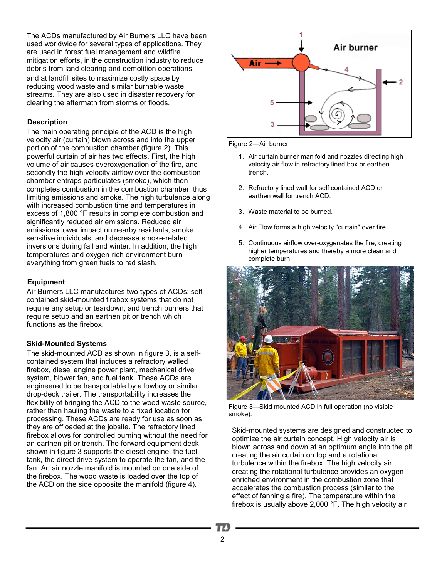The ACDs manufactured by Air Burners LLC have been used worldwide for several types of applications. They are used in forest fuel management and wildfire mitigation efforts, in the construction industry to reduce debris from land clearing and demolition operations, and at landfill sites to maximize costly space by reducing wood waste and similar burnable waste streams. They are also used in disaster recovery for clearing the aftermath from storms or floods.

# **Description**

The main operating principle of the ACD is the high velocity air (curtain) blown across and into the upper portion of the combustion chamber (figure 2). This powerful curtain of air has two effects. First, the high volume of air causes overoxygenation of the fire, and secondly the high velocity airflow over the combustion chamber entraps particulates (smoke), which then completes combustion in the combustion chamber, thus limiting emissions and smoke. The high turbulence along with increased combustion time and temperatures in excess of 1,800 °F results in complete combustion and significantly reduced air emissions. Reduced air emissions lower impact on nearby residents, smoke sensitive individuals, and decrease smoke-related inversions during fall and winter. In addition, the high temperatures and oxygen-rich environment burn everything from green fuels to red slash.

# **Equipment**

Air Burners LLC manufactures two types of ACDs: selfcontained skid-mounted firebox systems that do not require any setup or teardown; and trench burners that require setup and an earthen pit or trench which functions as the firebox.

## **Skid-Mounted Systems**

The skid-mounted ACD as shown in figure 3, is a selfcontained system that includes a refractory walled firebox, diesel engine power plant, mechanical drive system, blower fan, and fuel tank. These ACDs are engineered to be transportable by a lowboy or similar drop-deck trailer. The transportability increases the flexibility of bringing the ACD to the wood waste source, rather than hauling the waste to a fixed location for processing. These ACDs are ready for use as soon as they are offloaded at the jobsite. The refractory lined firebox allows for controlled burning without the need for an earthen pit or trench. The forward equipment deck shown in figure 3 supports the diesel engine, the fuel tank, the direct drive system to operate the fan, and the fan. An air nozzle manifold is mounted on one side of the firebox. The wood waste is loaded over the top of the ACD on the side opposite the manifold (figure 4).



Figure 2—Air burner.

- 1. Air curtain burner manifold and nozzles directing high velocity air flow in refractory lined box or earthen trench.
- 2. Refractory lined wall for self contained ACD or earthen wall for trench ACD.
- 3. Waste material to be burned.
- 4. Air Flow forms a high velocity "curtain" over fire.
- 5. Continuous airflow over-oxygenates the fire, creating higher temperatures and thereby a more clean and complete burn.



Figure 3—Skid mounted ACD in full operation (no visible smoke).

Skid-mounted systems are designed and constructed to optimize the air curtain concept. High velocity air is blown across and down at an optimum angle into the pit creating the air curtain on top and a rotational turbulence within the firebox. The high velocity air creating the rotational turbulence provides an oxygenenriched environment in the combustion zone that accelerates the combustion process (similar to the effect of fanning a fire). The temperature within the firebox is usually above 2,000 °F. The high velocity air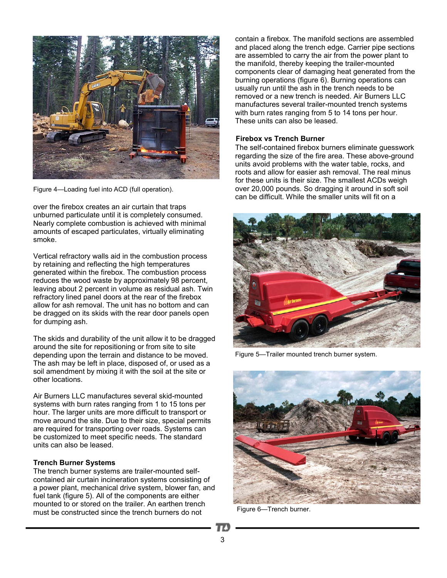

Figure 4—Loading fuel into ACD (full operation).

over the firebox creates an air curtain that traps unburned particulate until it is completely consumed. Nearly complete combustion is achieved with minimal amounts of escaped particulates, virtually eliminating smoke.

Vertical refractory walls aid in the combustion process by retaining and reflecting the high temperatures generated within the firebox. The combustion process reduces the wood waste by approximately 98 percent, leaving about 2 percent in volume as residual ash. Twin refractory lined panel doors at the rear of the firebox allow for ash removal. The unit has no bottom and can be dragged on its skids with the rear door panels open for dumping ash.

The skids and durability of the unit allow it to be dragged around the site for repositioning or from site to site depending upon the terrain and distance to be moved. The ash may be left in place, disposed of, or used as a soil amendment by mixing it with the soil at the site or other locations.

Air Burners LLC manufactures several skid-mounted systems with burn rates ranging from 1 to 15 tons per hour. The larger units are more difficult to transport or move around the site. Due to their size, special permits are required for transporting over roads. Systems can be customized to meet specific needs. The standard units can also be leased.

#### **Trench Burner Systems**

The trench burner systems are trailer-mounted selfcontained air curtain incineration systems consisting of a power plant, mechanical drive system, blower fan, and fuel tank (figure 5). All of the components are either mounted to or stored on the trailer. An earthen trench must be constructed since the trench burners do not

contain a firebox. The manifold sections are assembled and placed along the trench edge. Carrier pipe sections are assembled to carry the air from the power plant to the manifold, thereby keeping the trailer-mounted components clear of damaging heat generated from the burning operations (figure 6). Burning operations can usually run until the ash in the trench needs to be removed or a new trench is needed. Air Burners LLC manufactures several trailer-mounted trench systems with burn rates ranging from 5 to 14 tons per hour. These units can also be leased.

#### **Firebox vs Trench Burner**

The self-contained firebox burners eliminate guesswork regarding the size of the fire area. These above-ground units avoid problems with the water table, rocks, and roots and allow for easier ash removal. The real minus for these units is their size. The smallest ACDs weigh over 20,000 pounds. So dragging it around in soft soil can be difficult. While the smaller units will fit on a



Figure 5—Trailer mounted trench burner system.



Figure 6—Trench burner.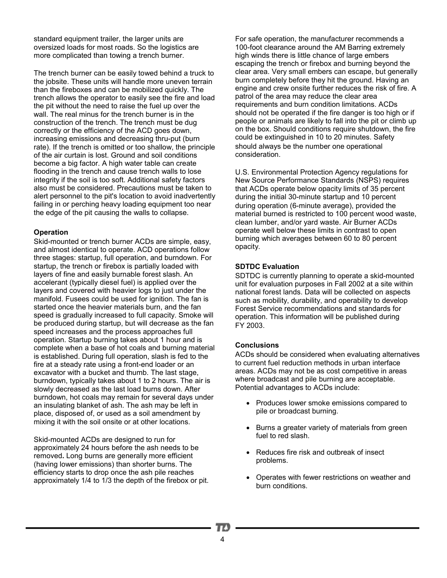standard equipment trailer, the larger units are oversized loads for most roads. So the logistics are more complicated than towing a trench burner.

The trench burner can be easily towed behind a truck to the jobsite. These units will handle more uneven terrain than the fireboxes and can be mobilized quickly. The trench allows the operator to easily see the fire and load the pit without the need to raise the fuel up over the wall. The real minus for the trench burner is in the construction of the trench. The trench must be dug correctly or the efficiency of the ACD goes down, increasing emissions and decreasing thru-put (burn rate). If the trench is omitted or too shallow, the principle of the air curtain is lost. Ground and soil conditions become a big factor. A high water table can create flooding in the trench and cause trench walls to lose integrity if the soil is too soft. Additional safety factors also must be considered. Precautions must be taken to alert personnel to the pit's location to avoid inadvertently failing in or perching heavy loading equipment too near the edge of the pit causing the walls to collapse.

## **Operation**

Skid-mounted or trench burner ACDs are simple, easy, and almost identical to operate. ACD operations follow three stages: startup, full operation, and burndown. For startup, the trench or firebox is partially loaded with layers of fine and easily burnable forest slash. An accelerant (typically diesel fuel) is applied over the layers and covered with heavier logs to just under the manifold. Fusees could be used for ignition. The fan is started once the heavier materials burn, and the fan speed is gradually increased to full capacity. Smoke will be produced during startup, but will decrease as the fan speed increases and the process approaches full operation. Startup burning takes about 1 hour and is complete when a base of hot coals and burning material is established. During full operation, slash is fed to the fire at a steady rate using a front-end loader or an excavator with a bucket and thumb. The last stage, burndown, typically takes about 1 to 2 hours. The air is slowly decreased as the last load burns down. After burndown, hot coals may remain for several days under an insulating blanket of ash. The ash may be left in place, disposed of, or used as a soil amendment by mixing it with the soil onsite or at other locations.

Skid-mounted ACDs are designed to run for approximately 24 hours before the ash needs to be removed**.** Long burns are generally more efficient (having lower emissions) than shorter burns. The efficiency starts to drop once the ash pile reaches approximately 1/4 to 1/3 the depth of the firebox or pit. For safe operation, the manufacturer recommends a 100-foot clearance around the AM Barring extremely high winds there is little chance of large embers escaping the trench or firebox and burning beyond the clear area. Very small embers can escape, but generally burn completely before they hit the ground. Having an engine and crew onsite further reduces the risk of fire. A patrol of the area may reduce the clear area requirements and burn condition limitations. ACDs should not be operated if the fire danger is too high or if people or animals are likely to fall into the pit or climb up on the box. Should conditions require shutdown, the fire could be extinguished in 10 to 20 minutes. Safety should always be the number one operational consideration.

U.S. Environmental Protection Agency regulations for New Source Performance Standards (NSPS) requires that ACDs operate below opacity limits of 35 percent during the initial 30-minute startup and 10 percent during operation (6-minute average), provided the material burned is restricted to 100 percent wood waste, clean lumber, and/or yard waste. Air Burner ACDs operate well below these limits in contrast to open burning which averages between 60 to 80 percent opacity.

#### **SDTDC Evaluation**

SDTDC is currently planning to operate a skid-mounted unit for evaluation purposes in Fall 2002 at a site within national forest lands. Data will be collected on aspects such as mobility, durability, and operability to develop Forest Service recommendations and standards for operation. This information will be published during FY 2003.

## **Conclusions**

ACDs should be considered when evaluating alternatives to current fuel reduction methods in urban interface areas. ACDs may not be as cost competitive in areas where broadcast and pile burning are acceptable. Potential advantages to ACDs include:

- Produces lower smoke emissions compared to pile or broadcast burning.
- Burns a greater variety of materials from green fuel to red slash.
- Reduces fire risk and outbreak of insect problems.
- Operates with fewer restrictions on weather and burn conditions.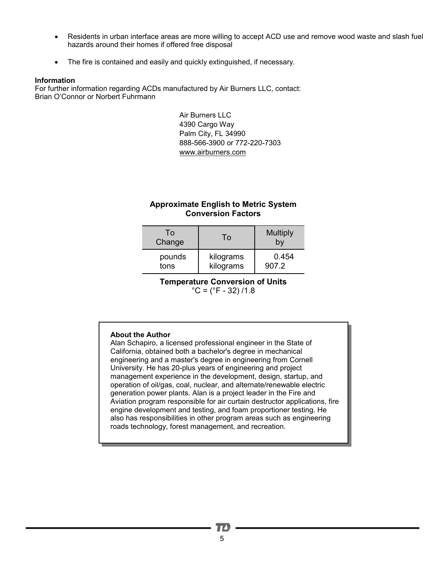- Residents in urban interface areas are more willing to accept ACD use and remove wood waste and slash fuel hazards around their homes if offered free disposal
- The fire is contained and easily and quickly extinguished, if necessary.

### **Information**

For further information regarding ACDs manufactured by Air Burners LLC, contact: Brian O'Connor or Norbert Fuhrmann

> Air Burners LLC 4390 Cargo Way Palm City, FL 34990 888-566-3900 or 772-220-7303 [www.airburners.com](http://www.airburners.com)

# **Approximate English to Metric System Conversion Factors**

| To<br>Change | To        | <b>Multiply</b> |
|--------------|-----------|-----------------|
| pounds       | kilograms | 0.454           |
| tons         | kilograms | 907.2           |

**Temperature Conversion of Units**   $^{\circ}$ C = ( $^{\circ}$ F - 32)/1.8

## **About the Author**

Alan Schapiro, a licensed professional engineer in the State of California, obtained both a bachelor's degree in mechanical engineering and a master's degree in engineering from Cornell University. He has 20-plus years of engineering and project management experience in the development, design, startup, and operation of oil/gas, coal, nuclear, and alternate/renewable electric generation power plants. Alan is a project leader in the Fire and Aviation program responsible for air curtain destructor applications, fire engine development and testing, and foam proportioner testing. He also has responsibilities in other program areas such as engineering roads technology, forest management, and recreation.